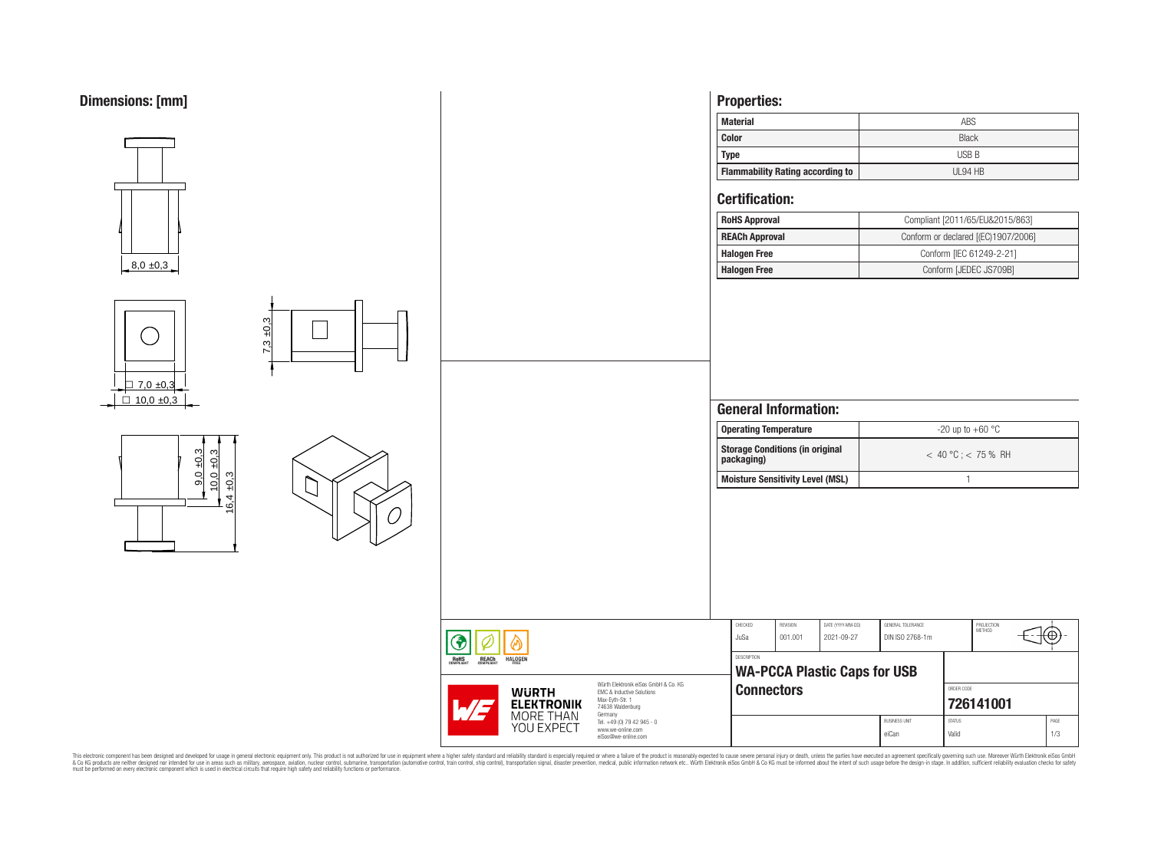

This electronic component has been designed and developed for usage in general electronic equipment only. This product is not authorized for subserved requipment where a higher selection equipment where a higher selection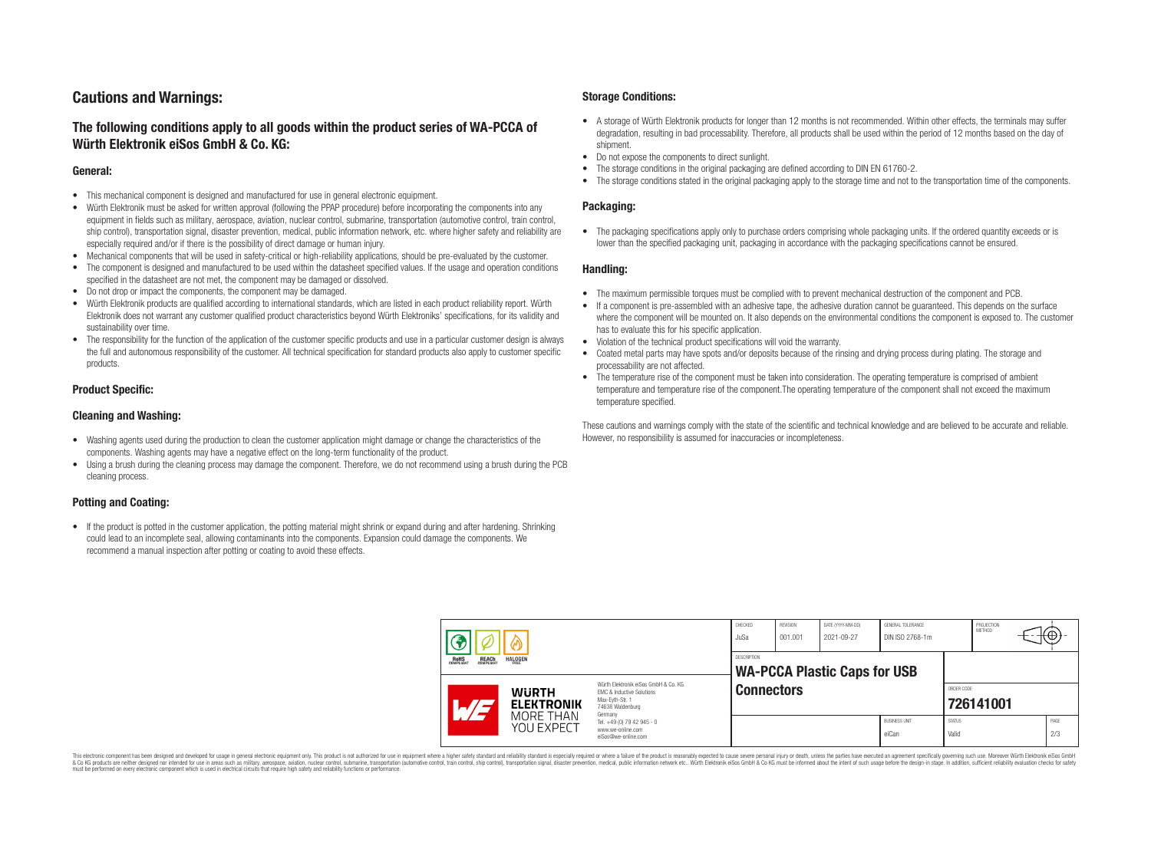# **Cautions and Warnings:**

# **The following conditions apply to all goods within the product series of WA-PCCA of Würth Elektronik eiSos GmbH & Co. KG:**

### **General:**

- This mechanical component is designed and manufactured for use in general electronic equipment.
- Würth Elektronik must be asked for written approval (following the PPAP procedure) before incorporating the components into any equipment in fields such as military, aerospace, aviation, nuclear control, submarine, transportation (automotive control, train control, ship control), transportation signal, disaster prevention, medical, public information network, etc. where higher safety and reliability are especially required and/or if there is the possibility of direct damage or human injury.
- Mechanical components that will be used in safety-critical or high-reliability applications, should be pre-evaluated by the customer.
- The component is designed and manufactured to be used within the datasheet specified values. If the usage and operation conditions specified in the datasheet are not met, the component may be damaged or dissolved.
- Do not drop or impact the components, the component may be damaged.<br>• Wirth Elektronik products are qualified according to international standard
- Würth Elektronik products are qualified according to international standards, which are listed in each product reliability report. Würth Elektronik does not warrant any customer qualified product characteristics beyond Würth Elektroniks' specifications, for its validity and sustainability over time.
- The responsibility for the function of the application of the customer specific products and use in a particular customer design is always the full and autonomous responsibility of the customer. All technical specification for standard products also apply to customer specific products.

### **Product Specific:**

### **Cleaning and Washing:**

- Washing agents used during the production to clean the customer application might damage or change the characteristics of the components. Washing agents may have a negative effect on the long-term functionality of the product.
- Using a brush during the cleaning process may damage the component. Therefore, we do not recommend using a brush during the PCB cleaning process.

# **Potting and Coating:**

• If the product is potted in the customer application, the potting material might shrink or expand during and after hardening. Shrinking could lead to an incomplete seal, allowing contaminants into the components. Expansion could damage the components. We recommend a manual inspection after potting or coating to avoid these effects.

### **Storage Conditions:**

- A storage of Würth Elektronik products for longer than 12 months is not recommended. Within other effects, the terminals may suffer degradation, resulting in bad processability. Therefore, all products shall be used within the period of 12 months based on the day of shipment.
- Do not expose the components to direct sunlight.<br>• The storage conditions in the original packaging
- The storage conditions in the original packaging are defined according to DIN EN 61760-2.
- The storage conditions stated in the original packaging apply to the storage time and not to the transportation time of the components.

### **Packaging:**

• The packaging specifications apply only to purchase orders comprising whole packaging units. If the ordered quantity exceeds or is lower than the specified packaging unit, packaging in accordance with the packaging specifications cannot be ensured.

### **Handling:**

- The maximum permissible torques must be complied with to prevent mechanical destruction of the component and PCB.
- If a component is pre-assembled with an adhesive tape, the adhesive duration cannot be guaranteed. This depends on the surface where the component will be mounted on. It also depends on the environmental conditions the component is exposed to. The customer has to evaluate this for his specific application.
- Violation of the technical product specifications will void the warranty.
- Coated metal parts may have spots and/or deposits because of the rinsing and drying process during plating. The storage and processability are not affected.
- The temperature rise of the component must be taken into consideration. The operating temperature is comprised of ambient temperature and temperature rise of the component.The operating temperature of the component shall not exceed the maximum temperature specified.

These cautions and warnings comply with the state of the scientific and technical knowledge and are believed to be accurate and reliable. However, no responsibility is assumed for inaccuracies or incompleteness.

|                                                                  |                                                              |                                                                                                                                                                                               | CHECKED<br>JuSa   | REVISION<br>001.001 | DATE (YYYY-MM-DD)<br>2021-09-27 | GENERAL TOLERANCE<br>DIN ISO 2768-1m |                         | PROJECTION<br>METHOD | Θ    |
|------------------------------------------------------------------|--------------------------------------------------------------|-----------------------------------------------------------------------------------------------------------------------------------------------------------------------------------------------|-------------------|---------------------|---------------------------------|--------------------------------------|-------------------------|----------------------|------|
| <b>REACH</b><br>COMPLIANT<br><b>HALOGEN</b><br>ROHS<br>COMPLIANT |                                                              | DESCRIPTION<br><b>WA-PCCA Plastic Caps for USB</b>                                                                                                                                            |                   |                     |                                 |                                      |                         |                      |      |
|                                                                  | <b>WURTH</b><br><b>ELEKTRONIK</b><br>MORE THAN<br>YOU EXPECT | Würth Flektronik eiSos GmbH & Co. KG<br>FMC & Inductive Solutions<br>Max-Evth-Str. 1<br>74638 Waldenburg<br>Germany<br>Tel. +49 (0) 79 42 945 - 0<br>www.we-online.com<br>eiSos@we-online.com | <b>Connectors</b> |                     |                                 |                                      | ORDER CODE<br>726141001 |                      |      |
|                                                                  |                                                              |                                                                                                                                                                                               |                   |                     |                                 | <b>BUSINESS UNIT</b>                 | <b>STATUS</b>           |                      | PAGE |

This electronic component has been designed and developed for usage in general electronic equipment only. This product is not authorized for use in equipment where a higher safety standard and reliability standard si espec & Ook product a label and the membed of the seasuch as marked and as which such a membed and the such assume that income in the seasuch and the simulation and the such assume that include to the such a membed and the such